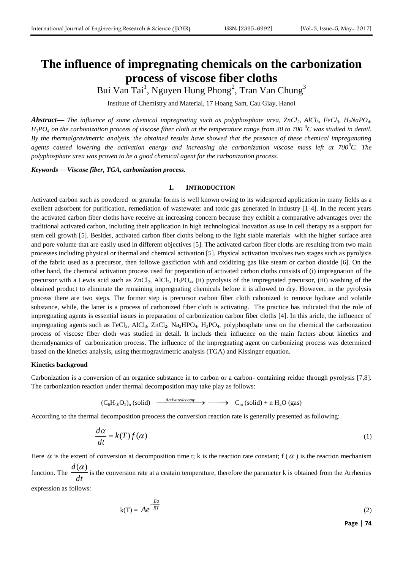# **The influence of impregnating chemicals on the carbonization process of viscose fiber cloths**

Bui Van Tai<sup>1</sup>, Nguyen Hung Phong<sup>2</sup>, Tran Van Chung<sup>3</sup>

Institute of Chemistry and Material, 17 Hoang Sam, Cau Giay, Hanoi

*Abstract***—** *The influence of some chemical impregnating such as polyphosphate urea, ZnCl2, AlCl3, FeCl3, H2NaPO4,*   $H_3PO_4$  *on the carbonization process of viscose fiber cloth at the temperature range from 30 to 700*  $^0C$  *was studied in detail. By the thermalgravimetric analysis, the obtained results have showed that the presence of these chemical impreganating agents caused lowering the activation energy and increasing the carbonization viscose mass left at 700<sup>0</sup>C. The polyphosphate urea was proven to be a good chemical agent for the carbonization process.*

*Keywords***—** *Viscose fiber, TGA, carbonization process.*

### **I. INTRODUCTION**

Activated carbon such as powdered or granular forms is well known owing to its widespread application in many fields as a exellent adsorbent for purification, remediation of wastewater and toxic gas generated in industry [1-4]. In the recent years the activated carbon fiber cloths have receive an increasing concern because they exhibit a comparative advantages over the traditional activated carbon, including their application in high technological inovation as use in cell therapy as a support for stem cell growth [5]. Besides, activated carbon fiber cloths belong to the light stable materials with the higher surface area and pore volume that are easily used in different objectives [5]. The activated carbon fiber cloths are resulting from two main processes including physical or thermal and chemical activation [5]. Physical activation involves two stages such as pyrolysis of the fabric used as a precursor, then followe gasifiction with and oxidizing gas like steam or carbon dioxide [6]. On the other hand, the chemical activation process used for preparation of activated carbon cloths consists of (i) impregnation of the precursor with a Lewis acid such as  $ZnCl_2$ ,  $AlCl_3$ ,  $H_3PO_4$ , (ii) pyrolysis of the impregnated precursor, (iii) washing of the obtained product to eliminate the remaining impregnating chemicals before it is allowed to dry. However, in the pyrolysis process there are two steps. The former step is precursor carbon fiber cloth cabonized to remove hydrate and volatile substance, while, the latter is a process of carbonized fiber cloth is activating. The practice has indicated that the role of impregnating agents is essential issues in preparation of carbonization carbon fiber cloths [4]. In this aricle, the influence of impregnating agents such as FeCl<sub>3</sub>, AlCl<sub>3</sub>, ZnCl<sub>2</sub>, Na<sub>2</sub>HPO<sub>4</sub>, H<sub>3</sub>PO<sub>4</sub>, polyphosphate urea on the chemical the carbonzation process of viscose fiber cloth was studied in detail. It includs their influence on the main factors about kinetics and thermdynamics of carbonization process. The influence of the impregnating agent on carbonizing process was determined based on the kinetics analysis, using thermogravimetric analysis (TGA) and Kissinger equation.

#### **Kinetics backgroud**

Carbonization is a conversion of an organice substance in to carbon or a carbon- containing reidue through pyrolysis [7,8]. The carbonization reaction under thermal decomposition may take play as follows:

 $(C_6H_{10}O_5)_n$  (solid)  $\xrightarrow{Activedecomp.} \longrightarrow C_m$  (solid) + n H<sub>2</sub>O (gas)

According to the thermal decomposition preocess the conversion reaction rate is generally presented as following:

$$
\frac{d\alpha}{dt} = k(T)f(\alpha) \tag{1}
$$

Here  $\alpha$  is the extent of conversion at decomposition time t; k is the reaction rate constant; f ( $\alpha$ ) is the reaction mechanism function. The  $\frac{d}{dt}$  $\frac{d(\alpha)}{d(\alpha)}$  is the conversion rate at a ceatain temperature, therefore the parameter k is obtained from the Arrhenius

expression as follows:

$$
k(T) = Ae^{-\frac{Ea}{RT}}
$$
 (2)

**Page** | **74**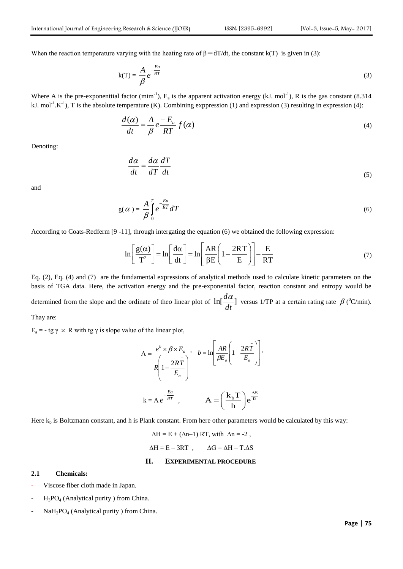When the reaction temperature varying with the heating rate of  $\beta = dT/dt$ , the constant k(T) is given in (3):

$$
k(T) = \frac{A}{\beta} e^{-\frac{Ea}{RT}}
$$
 (3)

Where A is the pre-exponenttial factor  $(min^{-1})$ ,  $E_a$  is the apparent activation energy (kJ. mol<sup>-1</sup>), R is the gas constant (8.314) kJ. mol<sup>-1</sup>.K<sup>-1</sup>), T is the absolute temperature (K). Combining exppression (1) and expression (3) resulting in expression (4):

$$
\frac{d(\alpha)}{dt} = \frac{A}{\beta} e^{-\frac{E_a}{RT}} f(\alpha)
$$
\n(4)

Denoting:

$$
\frac{d\alpha}{dt} = \frac{d\alpha}{dT}\frac{dT}{dt} \tag{5}
$$

and

$$
g(\alpha) = \frac{A}{\beta} \int_{0}^{T} e^{-\frac{Ea}{RT}} dT
$$
\n(6)

According to Coats-Redferm [9 -11], through integrating the equation (6) we obtained the following expression:  
\n
$$
\ln \left[ \frac{g(\alpha)}{T^2} \right] = \ln \left[ \frac{d\alpha}{dt} \right] = \ln \left[ \frac{AR}{\beta E} \left( 1 - \frac{2R\overline{T}}{E} \right) \right] - \frac{E}{RT}
$$
\n(7)

Eq. (2), Eq. (4) and (7) are the fundamental expressions of analytical methods used to calculate kinetic parameters on the basis of TGA data. Here, the activation energy and the pre-exponential factor, reaction constant and entropy would be determined from the slope and the ordinate of theo linear plot of  $\ln[\frac{u}{t}]$ *dt*  $\frac{d\alpha}{dt}$  versus 1/TP at a certain rating rate  $\beta$  (<sup>0</sup>C/min).

Thay are:

 $E_a = -tg \gamma \times R$  with tg  $\gamma$  is slope value of the linear plot,

$$
A = \frac{e^b \times \beta \times E_a}{R \left(1 - \frac{2R\overline{T}}{E_a}\right)}, \quad b = \ln \left[\frac{AR}{\beta E_a} \left(1 - \frac{2R\overline{T}}{E_a}\right)\right],
$$

$$
k = A e^{-\frac{Ea}{RT}}, \qquad A = \left(\frac{k_b T}{h}\right) e^{\frac{\Delta S}{R}}
$$

Here  $k_b$  is Boltzmann constant, and h is Plank constant. From here other parameters would be calculated by this way:

$$
\Delta H = E + (\Delta n - 1) RT, with \Delta n = -2,
$$
  

$$
\Delta H = E - 3RT, \qquad \Delta G = \Delta H - T \Delta S
$$

# **II. EXPERIMENTAL PROCEDURE**

#### **2.1 Chemicals:**

- Viscose fiber cloth made in Japan.
- $H_3PO_4$  (Analytical purity ) from China.
- $NaH<sub>2</sub>PO<sub>4</sub>$  (Analytical purity ) from China.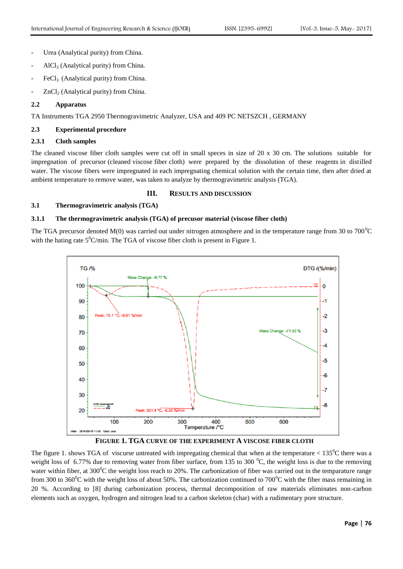- Urea (Analytical purity) from China.
- $AlCl<sub>3</sub>$  (Analytical purity) from China.
- $FeCl<sub>3</sub>$  (Analytical purity) from China.
- $ZnCl<sub>2</sub>$  (Analytical purity) from China.

## **2.2 Apparatus**

TA Instruments TGA 2950 Thermogravimetric Analyzer, USA and 409 PC NETSZCH , GERMANY

# **2.3 Experimental procedure**

# **2.3.1 Cloth samples**

The cleaned viscose fiber cloth samples were cut off in small speces in size of 20 x 30 cm. The solutions suitable for impregnation of precursor (cleaned viscose fiber cloth) were prepared by the dissolution of these reagents in distilled water. The viscose fibers were impregnated in each impregnating chemical solution with the certain time, then after dried at ambient temperature to remove water, was taken to analyze by thermogravimetric analysis (TGA).

# **III. RESULTS AND DISCUSSION**

# **3.1 Thermogravimetric analysis (TGA)**

### **3.1.1 The thermogravimetric analysis (TGA) of precusor material (viscose fiber cloth)**

The TGA precursor denoted  $M(0)$  was carried out under nitrogen atmosphere and in the temperature range from 30 to 700 $^{\circ}$ C with the hating rate  $5^0$ C/min. The TGA of viscose fiber cloth is present in Figure 1.





The figure 1. shows TGA of viscurse untreated with impregating chemical that when at the temperature  $< 135^{\circ}$ C there was a weight loss of 6.77% due to removing water from fiber surface, from 135 to 300  $^{\circ}$ C, the weight loss is due to the removing water within fiber, at  $300^{\circ}$ C the weight loss reach to 20%. The carbonization of fiber was carried out in the temparature range from 300 to 360<sup>°</sup>C with the weight loss of about 50%. The carbonization continued to 700<sup>°</sup>C with the fiber mass remaining in 20 %. According to [8] during carbonization process, thermal decomposition of raw materials eliminates non-carbon elements such as oxygen, hydrogen and nitrogen lead to a carbon skeleton (char) with a rudimentary pore structure.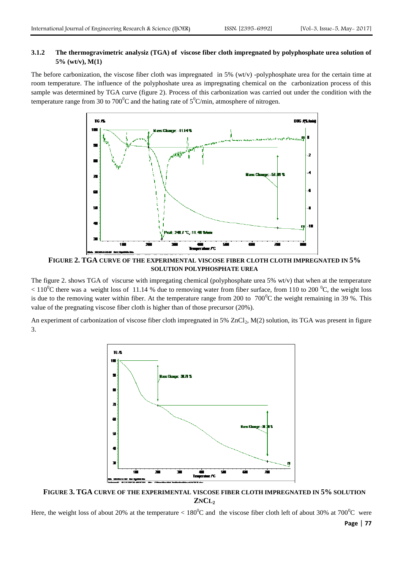# **3.1.2 The thermogravimetric analysiz (TGA) of viscose fiber cloth impregnated by polyphosphate urea solution of 5% (wt/v), M(1)**

The before carbonization, the viscose fiber cloth was impregnated in  $5\%$  (wt/v) -polyphosphate urea for the certain time at room temperature. The influence of the polyphoshate urea as impregnating chemical on the carbonization process of this sample was determined by TGA curve (figure 2). Process of this carbonization was carried out under the condition with the temperature range from 30 to 700<sup>o</sup>C and the hating rate of  $5^{\circ}$ C/min, atmosphere of nitrogen.



**FIGURE 2. TGA CURVE OF THE EXPERIMENTAL VISCOSE FIBER CLOTH CLOTH IMPREGNATED IN 5% SOLUTION POLYPHOSPHATE UREA**

The figure 2. shows TGA of viscurse with impregating chemical (polyphosphate urea 5% wt/v) that when at the temperature  $110^{\circ}$ C there was a weight loss of 11.14 % due to removing water from fiber surface, from 110 to 200  $^{\circ}$ C, the weight loss is due to the removing water within fiber. At the temperature range from 200 to  $700^{\circ}$ C the weight remaining in 39 %. This value of the pregnating viscose fiber cloth is higher than of those precursor (20%).

An experiment of carbonization of viscose fiber cloth impregnated in  $5\%$  ZnCl<sub>2</sub>, M(2) solution, its TGA was present in figure 3.



**FIGURE 3. TGA CURVE OF THE EXPERIMENTAL VISCOSE FIBER CLOTH IMPREGNATED IN 5% SOLUTION ZNCL<sup>2</sup>**

Here, the weight loss of about 20% at the temperature  $\lt 180^{\circ}$ C and the viscose fiber cloth left of about 30% at 700<sup>°</sup>C were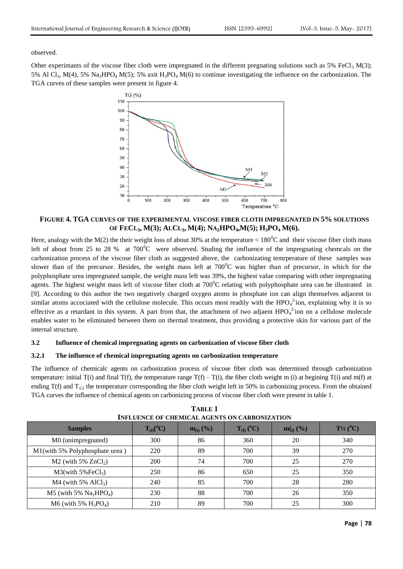observed.

Other experimants of the viscose fiber cloth were impregnated in the different pregnating solutions such as 5% FeCl<sub>3</sub> M(3); 5% Al Cl<sub>3</sub>, M(4), 5% Na<sub>2</sub>HPO<sub>4</sub> M(5); 5% axit H<sub>3</sub>PO<sub>4</sub> M(6) to continue investigating the influence on the carbonization. The TGA curves of these samples were present in figure 4.



**FIGURE 4. TGA CURVES OF THE EXPERIMENTAL VISCOSE FIBER CLOTH IMPREGNATED IN 5% SOLUTIONS**  OF FECL<sub>3</sub>, M(3); ALCL<sub>3</sub>, M(4); NA<sub>2</sub>HPO<sub>4</sub>,M(5); H<sub>3</sub>PO<sub>4</sub> M(6).

Here, analogy with the M(2) the their weight loss of about 30% at the temperature  $< 180^{\circ}$ C and their viscose fiber cloth mass left of about from 25 to 28 % at  $700^{\circ}$ C were observed. Studing the imfluence of the impregnating chemcals on the carbonization process of the viscose fiber cloth as suggested above, the carbonizating temrperature of these samples was slower than of the precursor. Besides, the weight mass left at  $700^{\circ}$ C was higher than of precursor, in which for the polyphosphate urea impregnated sample, the weight mass left was 39%, the highest value comparing with other impregnating agents. The highest weight mass left of viscose fiber cloth at  $700^{\circ}$ C relating with polyphosphate urea can be illustrated in [9]. According to this author the two negatively charged oxygen atoms in phosphate ion can align themselves adjacent to similar atoms accociated with the cellulose molecule. This occurs most readily with the  $HPO_4^{2}$  ion, explaining why it is so effective as a retardant in this system. A part from that, the attachment of two adjaent  $HPO_4^{2}$  ion on a cellulose molecule enables water to be eliminated between them on thermal treatment, thus providing a protective skin for various part of the internal structure.

#### **3.2 Influence of chemical impregnating agents on carbonization of viscose fiber cloth**

#### **3.2.1 The influence of chemical impregnating agents on carbonization temperature**

The influence of chemicalc agents on carbonization process of viscose fiber cloth was determined through carbonization temperature: initial  $T(i)$  and final  $T(f)$ , the temperature range  $T(f) - T(i)$ , the fiber cloth weight m (i) at begining  $T(i)$  and m(f) at ending  $T(f)$  and  $T_{1/2}$  the temperature corresponding the fiber cloth weight left in 50% in carbonizing process. From the obtained TGA curves the influence of chemical agents on carbonizing process of viscose fiber cloth were present in table 1.

| INFLUENCE OF CHEMICAL AGENTS ON CARBONIZATION |                  |               |                |             |                     |  |
|-----------------------------------------------|------------------|---------------|----------------|-------------|---------------------|--|
| <b>Samples</b>                                | $T_{(i)}({}^oC)$ | $m_{(i)}$ (%) | $T_{(f)}$ (°C) | $m(f_0 (%)$ | $T\frac{1}{2}$ (°C) |  |
| M0 (unimpregnated)                            | 300              | 86            | 360            | 20          | 340                 |  |
| M1(with 5% Polyphosphate urea)                | 220              | 89            | 700            | 39          | 270                 |  |
| $M2$ (with 5% $ZnCl2$ )                       | 200              | 74            | 700            | 25          | 270                 |  |
| $M3$ (with 5%FeCl <sub>3</sub> )              | 250              | 86            | 650            | 25          | 350                 |  |
| $M4$ (with 5% AlCl <sub>3</sub> )             | 240              | 85            | 700            | 28          | 280                 |  |
| $M5$ (with 5% $Na2HPO4$ )                     | 230              | 88            | 700            | 26          | 350                 |  |
| $M6$ (with 5% $H_3PO_4$ )                     | 210              | 89            | 700            | 25          | 300                 |  |

| <b>TABLE 1</b>                                       |
|------------------------------------------------------|
| <b>INFLUENCE OF CHEMICAL AGENTS ON CARBONIZATION</b> |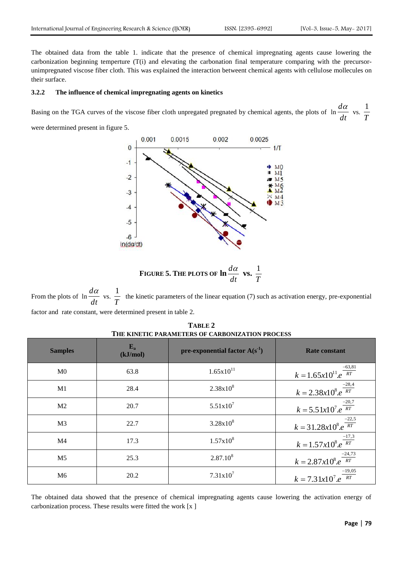The obtained data from the table 1. indicate that the presence of chemical impregnating agents cause lowering the carbonization beginning temperture (T(i) and elevating the carbonation final temperature comparing with the precursorunimpregnated viscose fiber cloth. This was explained the interaction betweent chemical agents with cellulose mollecules on their surface.

#### **3.2.2 The influence of chemical impregnating agents on kinetics**

Basing on the TGA curves of the viscose fiber cloth unpregated pregnated by chemical agents, the plots of ln *dt*  $\frac{d\alpha}{dt}$  vs.  $\frac{1}{T}$ 1

were determined present in figure 5.



FIGURE 5. THE PLOTS OF 
$$
\ln \frac{d\alpha}{dt}
$$
 vs.  $\frac{1}{T}$ 

From the plots of  $\ln \frac{d\theta}{dt}$  $\frac{d\alpha}{dt}$  vs.  $\frac{1}{T}$  $\frac{1}{x}$  the kinetic parameters of the linear equation (7) such as activation energy, pre-exponential factor and rate constant, were determined present in table 2.

**TABLE 2 THE KINETIC PARAMETERS OF CARBONIZATION PROCESS**

| <b>Samples</b> | $E_{a}$<br>(kJ/mol) | pre-exponential factor $A(s^1)$ | <b>Rate constant</b>                    |
|----------------|---------------------|---------------------------------|-----------------------------------------|
| M <sub>0</sub> | 63.8                | $1.65x10^{11}$                  | $k = 1.65x10^{11}e^{-63,81}$            |
| M1             | 28.4                | $2.38x10^{8}$                   | $k = 2.38x10^{8}e^{\frac{-28.4}{RT}}$   |
| M <sub>2</sub> | 20.7                | $5.51x10^7$                     | $k = 5.51x10^{7} e^{\frac{-20.7}{RT}}$  |
| M <sub>3</sub> | 22.7                | $3.28x10^{8}$                   | $k = 31.28x10^{8}.e^{\frac{-22.5}{RT}}$ |
| M <sub>4</sub> | 17.3                | $1.57x10^{8}$                   | $k = 1.57x10^{8}e^{\frac{-17.3}{RT}}$   |
| M <sub>5</sub> | 25.3                | $2.87.10^{8}$                   | $k = 2.87x10^8.e^{\frac{-24.73}{RT}}$   |
| M <sub>6</sub> | 20.2                | $7.31x10^7$                     | $k = 7.31x10^{7} e^{\frac{-19,05}{RT}}$ |

The obtained data showed that the presence of chemical impregnating agents cause lowering the activation energy of carbonization process. These results were fitted the work [x ]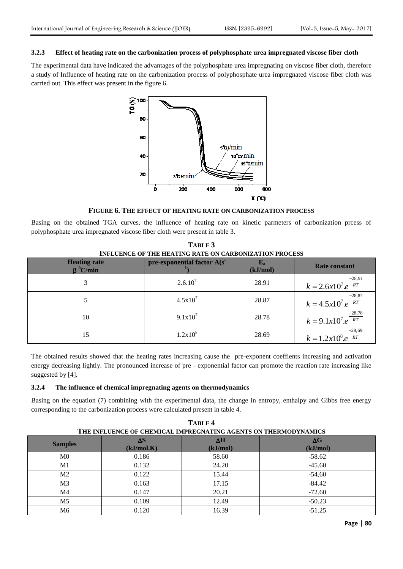#### **3.2.3 Effect of heating rate on the carbonization process of polyphosphate urea impregnated viscose fiber cloth**

The experimental data have indicated the advantages of the polyphosphate urea impregnating on viscose fiber cloth, therefore a study of Influence of heating rate on the carbonization process of polyphosphate urea impregnated viscose fiber cloth was carried out. This effect was present in the figure 6.



**FIGURE 6. THE EFFECT OF HEATING RATE ON CARBONIZATION PROCESS**

Basing on the obtained TGA curves, the influence of heating rate on kinetic parmeters of carbonization prcess of polyphosphate urea impregnated viscose fiber cloth were present in table 3.

| <b>INFLUENCE OF THE HEATING RATE ON CARBONIZATION PROCESS</b> |                             |          |                                       |  |
|---------------------------------------------------------------|-----------------------------|----------|---------------------------------------|--|
| <b>Heating rate</b><br>$\beta^{0}$ C/min                      | pre-exponential factor A(s) | (kJ/mol) | <b>Rate constant</b>                  |  |
| 3                                                             | $2.6.10^{7}$                | 28.91    | $k = 2.6x10^{7}e^{\frac{-28.91}{RT}}$ |  |
|                                                               | $4.5x10^{7}$                | 28.87    | $k = 4.5x10^{7}e^{\frac{-28,87}{RT}}$ |  |
| 10                                                            | $9.1x10^7$                  | 28.78    | $k = 9.1x10^{7}e^{\frac{-28.78}{RT}}$ |  |
| 15                                                            | $1.2x10^{8}$                | 28.69    | $k = 1.2x10^8 e^{\frac{-28,69}{RT}}$  |  |

**TABLE 3**

The obtained results showed that the heating rates increasing cause the pre-exponent coeffients increasing and activation energy decreasing lightly. The pronounced increase of pre - exponential factor can promote the reaction rate increasing like suggested by [4].

#### **3.2.4 The influence of chemical impregnating agents on thermodynamics**

Basing on the equation (7) combining with the experimental data, the change in entropy, enthalpy and Gibbs free energy corresponding to the carbonization process were calculated present in table 4.

| TABLE <sub>4</sub>                                              |            |          |            |  |  |
|-----------------------------------------------------------------|------------|----------|------------|--|--|
| THE INFLUENCE OF CHEMICAL IMPREGNATING AGENTS ON THERMODYNAMICS |            |          |            |  |  |
| <b>Samples</b>                                                  | ΛS         | ΔH       | $\Delta G$ |  |  |
|                                                                 | (kJ/mol.K) | (kJ/mol) | (kJ/mol)   |  |  |
| M <sub>0</sub>                                                  | 0.186      | 58.60    | $-58.62$   |  |  |
| M1                                                              | 0.132      | 24.20    | $-45.60$   |  |  |
| M <sub>2</sub>                                                  | 0.122      | 15.44    | $-54,60$   |  |  |
| M3                                                              | 0.163      | 17.15    | $-84.42$   |  |  |
| M4                                                              | 0.147      | 20.21    | $-72.60$   |  |  |
| M <sub>5</sub>                                                  | 0.109      | 12.49    | $-50.23$   |  |  |
| M6                                                              | 0.120      | 16.39    | $-51.25$   |  |  |